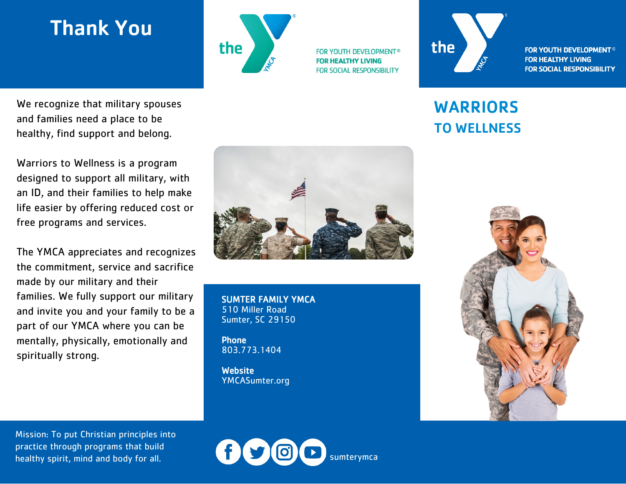## Thank You



**FOR YOUTH DEVELOPMENT® FOR HEALTHY LIVING FOR SOCIAL RESPONSIBILITY** 



**FOR YOUTH DEVELOPMENT<sup>®</sup> FOR HEALTHY LIVING FOR SOCIAL RESPONSIBILITY** 

## WARRIORS TO WELLNESS



We recognize that military spouses and families need a place to be healthy, find support and belong.

Warriors to Wellness is a program designed to support all military, with an ID, and their families to help make life easier by offering reduced cost or free programs and services.

The YMCA appreciates and recognizes the commitment, service and sacrifice made by our military and their families. We fully support our military and invite you and your family to be a part of our YMCA where you can be mentally, physically, emotionally and spiritually strong.



SUMTER FAMILY YMCA 510 Miller Road Sumter, SC 29150

Phone 803.773.1404

**Website** YMCASumter.org

Mission: To put Christian principles into practice through programs that build healthy spirit, mind and body for all.